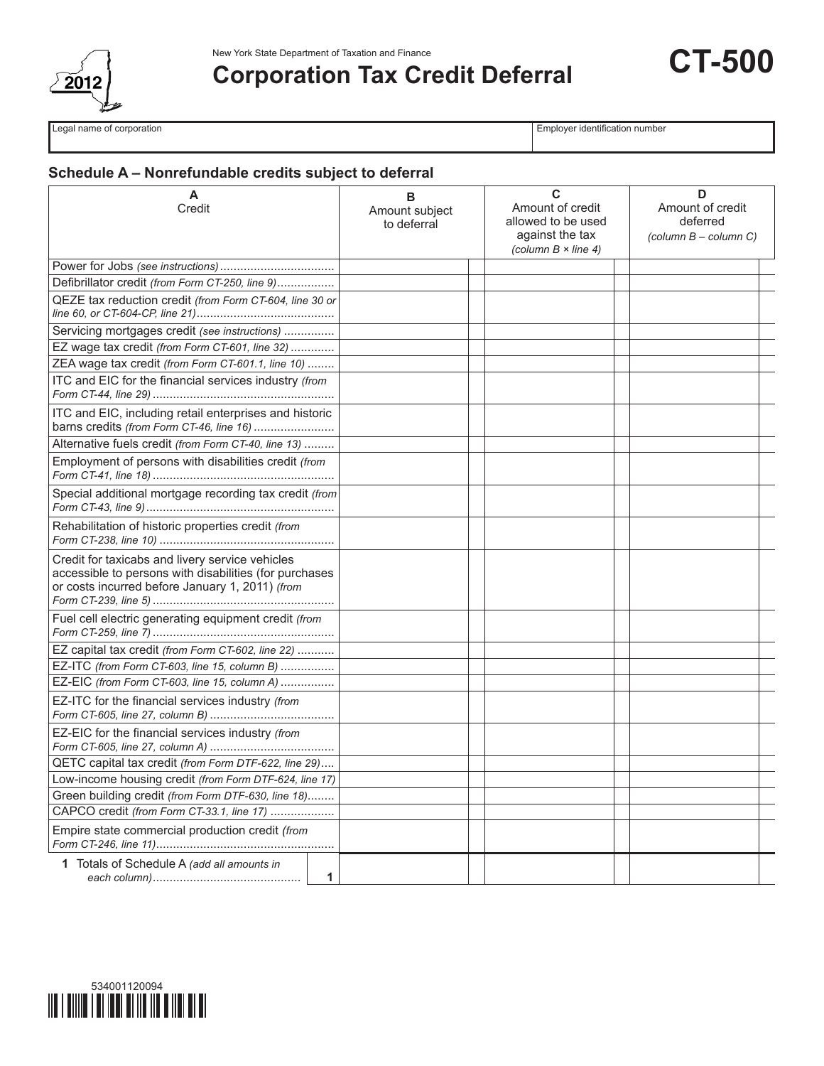

# **Corporation Tax Credit Deferral**

**CT-500**

Legal name of corporation **Employer identification** number

## **Schedule A – Nonrefundable credits subject to deferral**

| A<br>Credit                                                                                                                                                  | в<br>Amount subject | C<br>Amount of credit                                                | D<br>Amount of credit                                          |
|--------------------------------------------------------------------------------------------------------------------------------------------------------------|---------------------|----------------------------------------------------------------------|----------------------------------------------------------------|
|                                                                                                                                                              | to deferral         | allowed to be used<br>against the tax<br>(column $B \times line 4$ ) | deferred<br>$\left(\text{column } B - \text{column } C\right)$ |
|                                                                                                                                                              |                     |                                                                      |                                                                |
| Defibrillator credit (from Form CT-250, line 9)                                                                                                              |                     |                                                                      |                                                                |
| QEZE tax reduction credit (from Form CT-604, line 30 or                                                                                                      |                     |                                                                      |                                                                |
| Servicing mortgages credit (see instructions)                                                                                                                |                     |                                                                      |                                                                |
| EZ wage tax credit (from Form CT-601, line 32)                                                                                                               |                     |                                                                      |                                                                |
| ZEA wage tax credit (from Form CT-601.1, line 10)                                                                                                            |                     |                                                                      |                                                                |
| ITC and EIC for the financial services industry (from                                                                                                        |                     |                                                                      |                                                                |
| ITC and EIC, including retail enterprises and historic<br>barns credits (from Form CT-46, line 16)                                                           |                     |                                                                      |                                                                |
| Alternative fuels credit (from Form CT-40, line 13)                                                                                                          |                     |                                                                      |                                                                |
| Employment of persons with disabilities credit (from                                                                                                         |                     |                                                                      |                                                                |
| Special additional mortgage recording tax credit (from                                                                                                       |                     |                                                                      |                                                                |
| Rehabilitation of historic properties credit (from                                                                                                           |                     |                                                                      |                                                                |
| Credit for taxicabs and livery service vehicles<br>accessible to persons with disabilities (for purchases<br>or costs incurred before January 1, 2011) (from |                     |                                                                      |                                                                |
| Fuel cell electric generating equipment credit (from                                                                                                         |                     |                                                                      |                                                                |
| EZ capital tax credit (from Form CT-602, line 22)                                                                                                            |                     |                                                                      |                                                                |
| EZ-ITC (from Form CT-603, line 15, column B)                                                                                                                 |                     |                                                                      |                                                                |
| EZ-EIC (from Form CT-603, line 15, column A)                                                                                                                 |                     |                                                                      |                                                                |
| EZ-ITC for the financial services industry <i>(from</i> )                                                                                                    |                     |                                                                      |                                                                |
| EZ-EIC for the financial services industry (from                                                                                                             |                     |                                                                      |                                                                |
| QETC capital tax credit (from Form DTF-622, line 29)                                                                                                         |                     |                                                                      |                                                                |
| Low-income housing credit (from Form DTF-624, line 17)                                                                                                       |                     |                                                                      |                                                                |
| Green building credit (from Form DTF-630, line 18)                                                                                                           |                     |                                                                      |                                                                |
| CAPCO credit (from Form CT-33.1, line 17)                                                                                                                    |                     |                                                                      |                                                                |
| Empire state commercial production credit (from                                                                                                              |                     |                                                                      |                                                                |
| 1 Totals of Schedule A (add all amounts in                                                                                                                   | 1                   |                                                                      |                                                                |

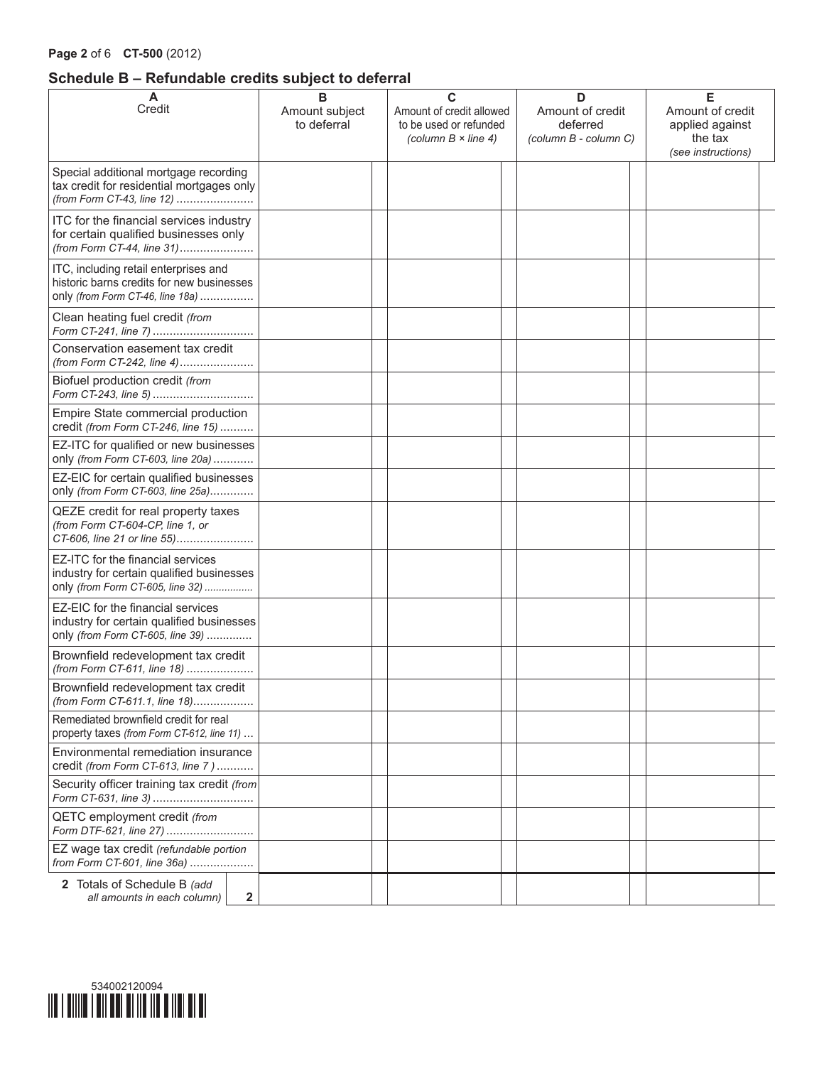## **Schedule B – Refundable credits subject to deferral**

| A<br>Credit                                                                                                            | в<br>Amount subject<br>to deferral | C<br>Amount of credit allowed<br>to be used or refunded<br>(column $B \times line 4$ ) | D<br>Amount of credit<br>deferred<br>(column B - column C) | Е<br>Amount of credit<br>applied against<br>the tax<br>(see instructions) |
|------------------------------------------------------------------------------------------------------------------------|------------------------------------|----------------------------------------------------------------------------------------|------------------------------------------------------------|---------------------------------------------------------------------------|
| Special additional mortgage recording<br>tax credit for residential mortgages only<br>(from Form CT-43, line 12)       |                                    |                                                                                        |                                                            |                                                                           |
| ITC for the financial services industry<br>for certain qualified businesses only<br>(from Form CT-44, line 31)         |                                    |                                                                                        |                                                            |                                                                           |
| ITC, including retail enterprises and<br>historic barns credits for new businesses<br>only (from Form CT-46, line 18a) |                                    |                                                                                        |                                                            |                                                                           |
| Clean heating fuel credit (from<br>Form CT-241, line 7)                                                                |                                    |                                                                                        |                                                            |                                                                           |
| Conservation easement tax credit<br>(from Form CT-242, line 4)                                                         |                                    |                                                                                        |                                                            |                                                                           |
| Biofuel production credit (from<br>Form CT-243, line 5)                                                                |                                    |                                                                                        |                                                            |                                                                           |
| Empire State commercial production<br>credit (from Form CT-246, line 15)                                               |                                    |                                                                                        |                                                            |                                                                           |
| EZ-ITC for qualified or new businesses<br>only (from Form CT-603, line 20a)                                            |                                    |                                                                                        |                                                            |                                                                           |
| EZ-EIC for certain qualified businesses<br>only (from Form CT-603, line 25a)                                           |                                    |                                                                                        |                                                            |                                                                           |
| QEZE credit for real property taxes<br>(from Form CT-604-CP, line 1, or<br>CT-606, line 21 or line 55)                 |                                    |                                                                                        |                                                            |                                                                           |
| EZ-ITC for the financial services<br>industry for certain qualified businesses<br>only (from Form CT-605, line 32)     |                                    |                                                                                        |                                                            |                                                                           |
| EZ-EIC for the financial services<br>industry for certain qualified businesses<br>only (from Form CT-605, line 39)     |                                    |                                                                                        |                                                            |                                                                           |
| Brownfield redevelopment tax credit<br>(from Form CT-611, line 18)                                                     |                                    |                                                                                        |                                                            |                                                                           |
| Brownfield redevelopment tax credit<br>(from Form CT-611.1, line 18)                                                   |                                    |                                                                                        |                                                            |                                                                           |
| Remediated brownfield credit for real<br>property taxes (from Form CT-612, line 11)                                    |                                    |                                                                                        |                                                            |                                                                           |
| Environmental remediation insurance<br>credit (from Form CT-613, line 7)                                               |                                    |                                                                                        |                                                            |                                                                           |
| Security officer training tax credit (from<br>Form CT-631, line 3)                                                     |                                    |                                                                                        |                                                            |                                                                           |
| QETC employment credit (from<br>Form DTF-621, line 27)                                                                 |                                    |                                                                                        |                                                            |                                                                           |
| EZ wage tax credit (refundable portion<br>from Form CT-601, line 36a)                                                  |                                    |                                                                                        |                                                            |                                                                           |
| 2 Totals of Schedule B (add<br>$\mathbf{2}$<br>all amounts in each column)                                             |                                    |                                                                                        |                                                            |                                                                           |

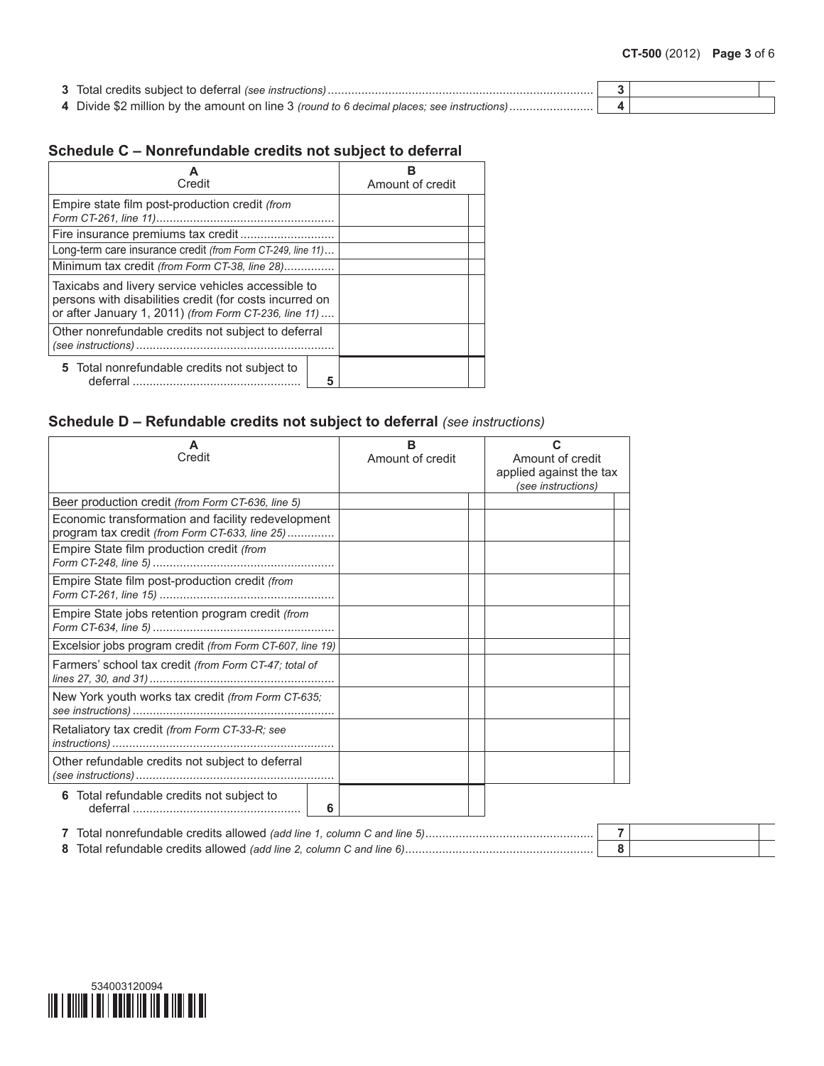| 3 Total credits subject to deferral (see instructions)                                             |  |
|----------------------------------------------------------------------------------------------------|--|
| 4 Divide \$2 million by the amount on line 3 <i>(round to 6 decimal places; see instructions</i> ) |  |

# **Schedule C – Nonrefundable credits not subject to deferral**

| Credit                                                                                                                                                                 | Amount of credit |
|------------------------------------------------------------------------------------------------------------------------------------------------------------------------|------------------|
| Empire state film post-production credit (from                                                                                                                         |                  |
|                                                                                                                                                                        |                  |
| Long-term care insurance credit (from Form CT-249, line 11)                                                                                                            |                  |
| Minimum tax credit (from Form CT-38, line 28)                                                                                                                          |                  |
| Taxicabs and livery service vehicles accessible to<br>persons with disabilities credit (for costs incurred on<br>or after January 1, 2011) (from Form CT-236, line 11) |                  |
| Other nonrefundable credits not subject to deferral                                                                                                                    |                  |
| 5 Total nonrefundable credits not subject to<br>5                                                                                                                      |                  |

## **Schedule D – Refundable credits not subject to deferral** *(see instructions)*

| A<br>Credit                                                                                          | в<br>Amount of credit | С<br>Amount of credit<br>applied against the tax<br>(see instructions) |
|------------------------------------------------------------------------------------------------------|-----------------------|------------------------------------------------------------------------|
| Beer production credit (from Form CT-636, line 5)                                                    |                       |                                                                        |
| Economic transformation and facility redevelopment<br>program tax credit (from Form CT-633, line 25) |                       |                                                                        |
| Empire State film production credit (from                                                            |                       |                                                                        |
| Empire State film post-production credit (from                                                       |                       |                                                                        |
| Empire State jobs retention program credit (from                                                     |                       |                                                                        |
| Excelsior jobs program credit (from Form CT-607, line 19)                                            |                       |                                                                        |
| Farmers' school tax credit (from Form CT-47; total of                                                |                       |                                                                        |
| New York youth works tax credit (from Form CT-635;                                                   |                       |                                                                        |
| Retaliatory tax credit (from Form CT-33-R; see                                                       |                       |                                                                        |
| Other refundable credits not subject to deferral                                                     |                       |                                                                        |
| 6 Total refundable credits not subject to<br>6                                                       |                       |                                                                        |

| Total nonrefundable credits allowed (add line 1, column C and line 5). |  |
|------------------------------------------------------------------------|--|
| 8 Total refundable credits allowed (add line 2, column C and line 6)   |  |

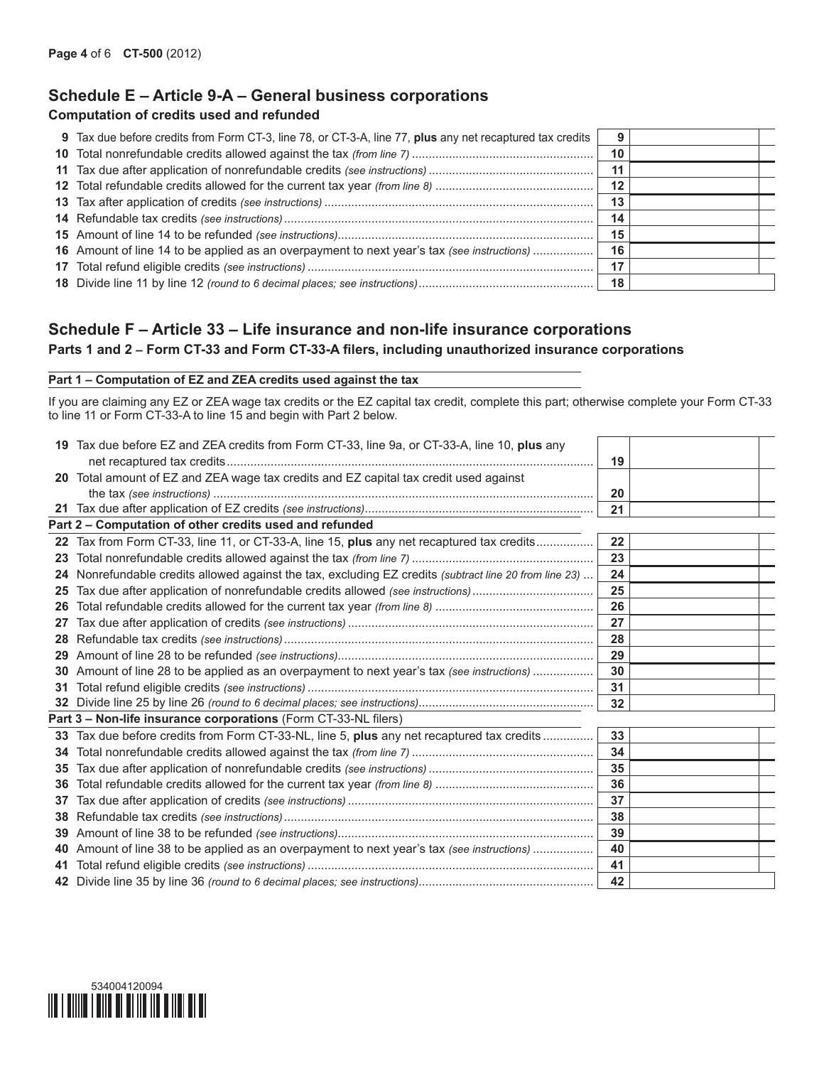# **Schedule E – Article 9-A – General business corporations**

#### **Computation of credits used and refunded**

| 9 Tax due before credits from Form CT-3, line 78, or CT-3-A, line 77, plus any net recaptured tax credits |    |  |
|-----------------------------------------------------------------------------------------------------------|----|--|
|                                                                                                           | 10 |  |
|                                                                                                           | 11 |  |
|                                                                                                           | 12 |  |
|                                                                                                           | 13 |  |
|                                                                                                           | 14 |  |
|                                                                                                           | 15 |  |
| 16 Amount of line 14 to be applied as an overpayment to next year's tax (see instructions)                | 16 |  |
|                                                                                                           | 17 |  |
|                                                                                                           | 18 |  |

## **Schedule F – Article 33 – Life insurance and non-life insurance corporations Parts 1 and 2 – Form CT-33 and Form CT-33-A filers, including unauthorized insurance corporations**

#### **Part 1 – Computation of EZ and ZEA credits used against the tax**

If you are claiming any EZ or ZEA wage tax credits or the EZ capital tax credit, complete this part; otherwise complete your Form CT-33 to line 11 or Form CT-33-A to line 15 and begin with Part 2 below.

|    | 19 Tax due before EZ and ZEA credits from Form CT-33, line 9a, or CT-33-A, line 10, plus any           |    |  |
|----|--------------------------------------------------------------------------------------------------------|----|--|
|    |                                                                                                        | 19 |  |
| 20 | Total amount of EZ and ZEA wage tax credits and EZ capital tax credit used against                     |    |  |
|    |                                                                                                        | 20 |  |
|    |                                                                                                        | 21 |  |
|    | Part 2 - Computation of other credits used and refunded                                                |    |  |
| 22 | Tax from Form CT-33, line 11, or CT-33-A, line 15, plus any net recaptured tax credits                 | 22 |  |
| 23 |                                                                                                        | 23 |  |
|    | 24 Nonrefundable credits allowed against the tax, excluding EZ credits (subtract line 20 from line 23) | 24 |  |
| 25 | Tax due after application of nonrefundable credits allowed (see instructions)                          | 25 |  |
| 26 |                                                                                                        | 26 |  |
| 27 |                                                                                                        | 27 |  |
| 28 |                                                                                                        | 28 |  |
| 29 |                                                                                                        | 29 |  |
| 30 | Amount of line 28 to be applied as an overpayment to next year's tax (see instructions)                | 30 |  |
| 31 |                                                                                                        | 31 |  |
|    |                                                                                                        | 32 |  |
|    | Part 3 - Non-life insurance corporations (Form CT-33-NL filers)                                        |    |  |
| 33 | Tax due before credits from Form CT-33-NL, line 5, plus any net recaptured tax credits                 | 33 |  |
| 34 |                                                                                                        | 34 |  |
| 35 |                                                                                                        | 35 |  |
| 36 |                                                                                                        | 36 |  |
| 37 |                                                                                                        | 37 |  |
| 38 |                                                                                                        | 38 |  |
| 39 |                                                                                                        | 39 |  |
| 40 | Amount of line 38 to be applied as an overpayment to next year's tax (see instructions)                | 40 |  |
| 41 |                                                                                                        | 41 |  |
|    |                                                                                                        | 42 |  |

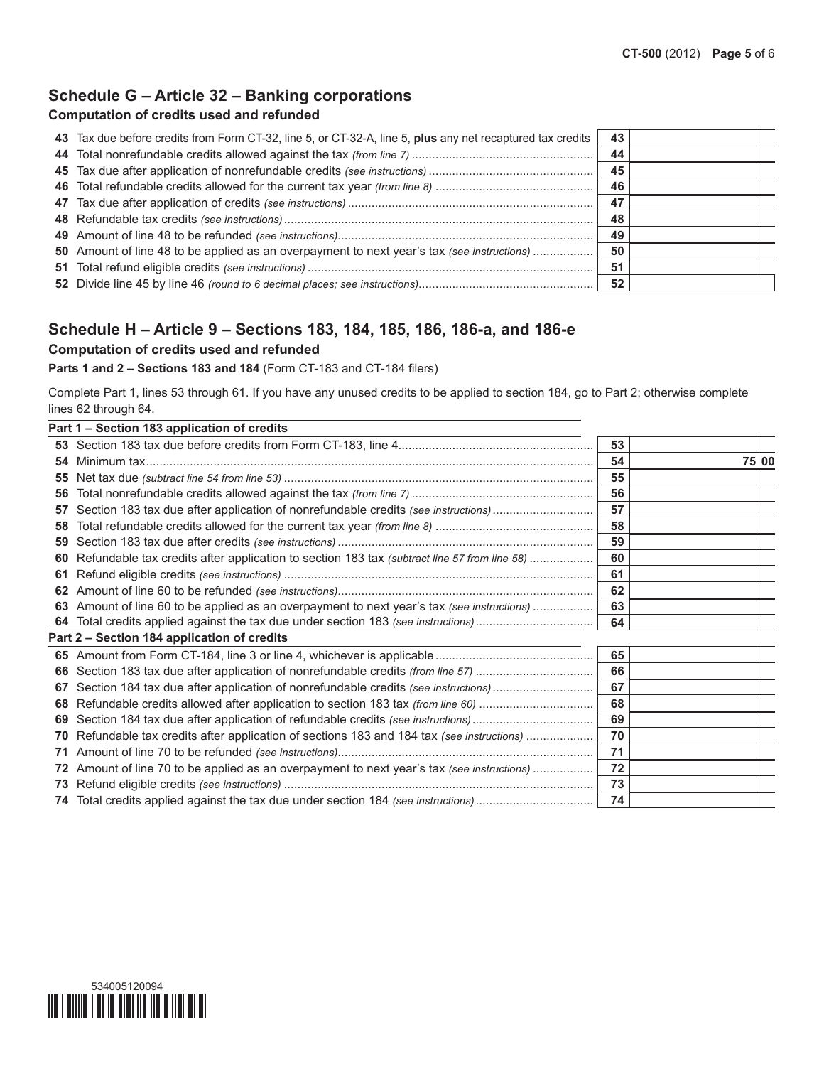## **Schedule G – Article 32 – Banking corporations**

#### **Computation of credits used and refunded**

| 43 Tax due before credits from Form CT-32, line 5, or CT-32-A, line 5, plus any net recaptured tax credits | 43  |  |
|------------------------------------------------------------------------------------------------------------|-----|--|
|                                                                                                            | 44  |  |
|                                                                                                            | 45  |  |
|                                                                                                            | -46 |  |
|                                                                                                            | 47  |  |
|                                                                                                            | 48  |  |
|                                                                                                            | 49  |  |
| 50 Amount of line 48 to be applied as an overpayment to next year's tax (see instructions)                 | 50  |  |
|                                                                                                            | 51  |  |
|                                                                                                            | 52  |  |

## **Schedule H – Article 9 – Sections 183, 184, 185, 186, 186-a, and 186-e**

#### **Computation of credits used and refunded**

**Parts 1 and 2 – Sections 183 and 184** (Form CT-183 and CT-184 filers)

Complete Part 1, lines 53 through 61. If you have any unused credits to be applied to section 184, go to Part 2; otherwise complete lines 62 through 64.

|    | Part 1 - Section 183 application of credits                                                 |    |       |  |
|----|---------------------------------------------------------------------------------------------|----|-------|--|
|    |                                                                                             | 53 |       |  |
| 54 | Minimum tax.                                                                                | 54 | 75 00 |  |
| 55 |                                                                                             | 55 |       |  |
| 56 |                                                                                             | 56 |       |  |
| 57 | Section 183 tax due after application of nonrefundable credits (see instructions)           | 57 |       |  |
| 58 |                                                                                             | 58 |       |  |
| 59 |                                                                                             | 59 |       |  |
| 60 | Refundable tax credits after application to section 183 tax (subtract line 57 from line 58) | 60 |       |  |
| 61 |                                                                                             | 61 |       |  |
| 62 |                                                                                             | 62 |       |  |
| 63 | Amount of line 60 to be applied as an overpayment to next year's tax (see instructions)     | 63 |       |  |
|    | 64 Total credits applied against the tax due under section 183 (see instructions)           | 64 |       |  |
|    | Part 2 - Section 184 application of credits                                                 |    |       |  |
| 65 |                                                                                             | 65 |       |  |
| 66 | Section 183 tax due after application of nonrefundable credits (from line 57)               | 66 |       |  |
| 67 | Section 184 tax due after application of nonrefundable credits (see instructions)           | 67 |       |  |
| 68 | Refundable credits allowed after application to section 183 tax (from line 60)              | 68 |       |  |
| 69 | Section 184 tax due after application of refundable credits (see instructions)              | 69 |       |  |
| 70 | Refundable tax credits after application of sections 183 and 184 tax (see instructions)     | 70 |       |  |
| 71 |                                                                                             | 71 |       |  |
| 72 | Amount of line 70 to be applied as an overpayment to next year's tax (see instructions)     | 72 |       |  |
| 73 |                                                                                             | 73 |       |  |
|    |                                                                                             | 74 |       |  |